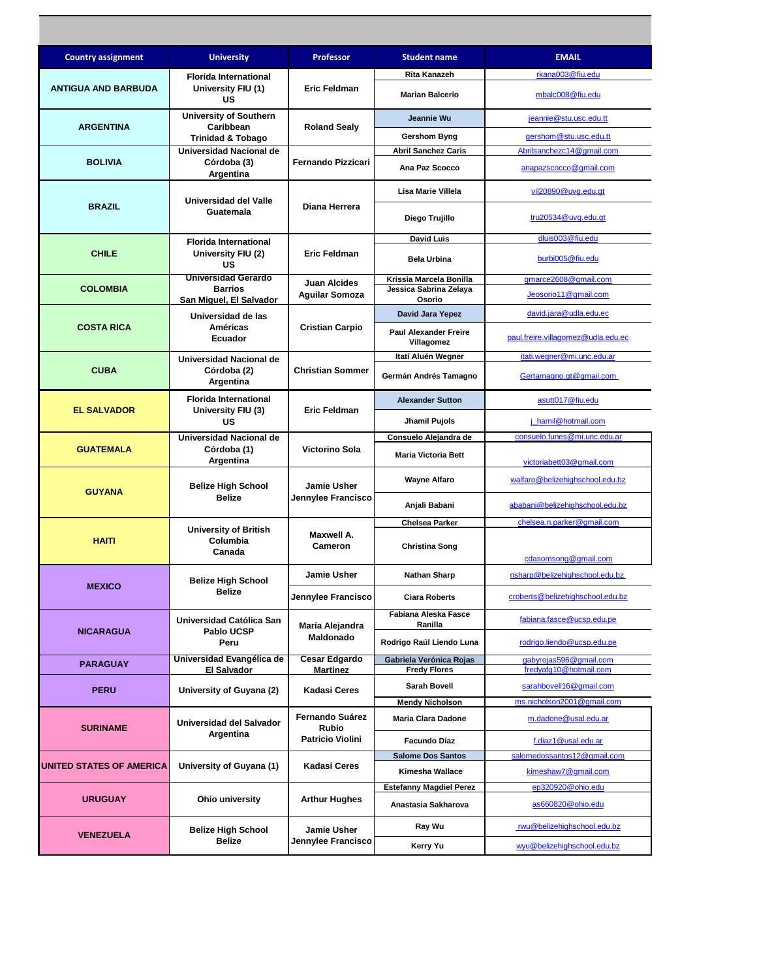| <b>Country assignment</b>  | <b>University</b>                                   | <b>Professor</b>                         | <b>Student name</b>                        | <b>EMAIL</b>                                      |
|----------------------------|-----------------------------------------------------|------------------------------------------|--------------------------------------------|---------------------------------------------------|
|                            | <b>Florida International</b>                        | <b>Eric Feldman</b>                      | Rita Kanazeh                               | rkana003@fiu.edu                                  |
| <b>ANTIGUA AND BARBUDA</b> | University FIU (1)<br>US                            |                                          | <b>Marian Balcerio</b>                     | mbalc008@fiu.edu                                  |
| <b>ARGENTINA</b>           | <b>University of Southern</b><br>Caribbean          | <b>Roland Sealy</b>                      | Jeannie Wu                                 | jeannie@stu.usc.edu.tt                            |
|                            | <b>Trinidad &amp; Tobago</b>                        |                                          | Gershom Byng                               | gershom@stu.usc.edu.tt                            |
|                            | Universidad Nacional de                             | <b>Fernando Pizzicari</b>                | <b>Abril Sanchez Caris</b>                 | Abrilsanchezc14@gmail.com                         |
| <b>BOLIVIA</b>             | Córdoba (3)<br>Argentina                            |                                          | Ana Paz Scocco                             | anapazscocco@gmail.com                            |
| <b>BRAZIL</b>              | Universidad del Valle<br>Guatemala                  | Diana Herrera                            | Lisa Marie Villela                         | vil20890@uvg.edu.gt                               |
|                            |                                                     |                                          | Diego Trujillo                             | tru20534@uvg.edu.gt                               |
|                            | <b>Florida International</b>                        |                                          | <b>David Luis</b>                          | dluis003@fiu.edu                                  |
| <b>CHILE</b>               | University FIU (2)<br>US                            | <b>Eric Feldman</b>                      | <b>Bela Urbina</b>                         | burbi005@fiu.edu                                  |
|                            | <b>Universidad Gerardo</b><br><b>Barrios</b>        | <b>Juan Alcides</b>                      | Krissia Marcela Bonilla                    | gmarce2608@gmail.com                              |
| <b>COLOMBIA</b>            | San Miguel, El Salvador                             | <b>Aguilar Somoza</b>                    | Jessica Sabrina Zelaya<br>Osorio           | Jeosorio11@gmail.com                              |
|                            | Universidad de las                                  |                                          | David Jara Yepez                           | david.jara@udla.edu.ec                            |
| <b>COSTA RICA</b>          | Américas<br>Ecuador                                 | <b>Cristian Carpio</b>                   | <b>Paul Alexander Freire</b><br>Villagomez | paul.freire.villagomez@udla.edu.ec                |
|                            | Universidad Nacional de                             |                                          | Itatí Aluén Wegner                         | itati.wegner@mi.unc.edu.ar                        |
| <b>CUBA</b>                | Córdoba (2)<br>Argentina                            | <b>Christian Sommer</b>                  | Germán Andrés Tamagno                      | Gertamagno.gt@gmail.com                           |
| <b>EL SALVADOR</b>         | <b>Florida International</b><br>University FIU (3)  | <b>Eric Feldman</b>                      | <b>Alexander Sutton</b>                    | asutt017@fiu.edu                                  |
|                            | US                                                  |                                          | Jhamil Pujols                              | j_hamil@hotmail.com                               |
|                            | Universidad Nacional de<br>Córdoba (1)<br>Argentina | <b>Victorino Sola</b>                    | Consuelo Alejandra de                      | consuelo.funes@mi.unc.edu.ar                      |
| <b>GUATEMALA</b>           |                                                     |                                          | <b>Maria Victoria Bett</b>                 | victoriabett03@gmail.com                          |
| <b>GUYANA</b>              | <b>Belize High School</b><br><b>Belize</b>          | <b>Jamie Usher</b><br>Jennylee Francisco | <b>Wayne Alfaro</b>                        | walfaro@belizehighschool.edu.bz                   |
|                            |                                                     |                                          | Anjali Babani                              | ababani@belizehighschool.edu.bz                   |
|                            | <b>University of British</b><br>Columbia<br>Canada  | Maxwell A.<br>Cameron                    | <b>Chelsea Parker</b>                      | chelsea.n.parker@gmail.com                        |
| <b>HAITI</b>               |                                                     |                                          | <b>Christina Song</b>                      | cdasomsong@gmail.com                              |
|                            | <b>Belize High School</b>                           | Jamie Usher                              | <b>Nathan Sharp</b>                        | nsharp@belizehighschool.edu.bz                    |
| <b>MEXICO</b>              | Belize                                              | Jennylee Francisco                       | <b>Ciara Roberts</b>                       | croberts@belizehighschool.edu.bz                  |
|                            | Universidad Católica San                            | María Alejandra<br>Maldonado             | Fabiana Aleska Fasce<br>Ranilla            | fabiana.fasce@ucsp.edu.pe                         |
| <b>NICARAGUA</b>           | Pablo UCSP<br>Peru                                  |                                          | Rodrigo Raúl Liendo Luna                   | rodrigo.liendo@ucsp.edu.pe                        |
| <b>PARAGUAY</b>            | Universidad Evangélica de                           | Cesar Edgardo                            | Gabriela Verónica Rojas                    | gabyrojas596@gmail.com                            |
| <b>PERU</b>                | El Salvador<br>University of Guyana (2)             | <b>Martinez</b><br><b>Kadasi Ceres</b>   | <b>Fredy Flores</b><br><b>Sarah Bovell</b> | fredyafg10@hotmail.com<br>sarahbovell16@gmail.com |
|                            |                                                     |                                          | <b>Mendy Nicholson</b>                     | ms.nicholson2001@gmail.com                        |
| <b>SURINAME</b>            |                                                     | Fernando Suárez                          | Maria Clara Dadone                         | m.dadone@usal.edu.ar                              |
|                            | Universidad del Salvador<br>Argentina               | <b>Rubio</b><br><b>Patricio Violini</b>  | <b>Facundo Diaz</b>                        | f.diaz1@usal.edu.ar                               |
|                            | University of Guyana (1)                            | Kadasi Ceres                             | <b>Salome Dos Santos</b>                   | salomedossantos12@gmail.com                       |
| UNITED STATES OF AMERICA   |                                                     |                                          | Kimesha Wallace                            | kimeshaw7@gmail.com                               |
|                            | Ohio university                                     | <b>Arthur Hughes</b>                     | <b>Estefanny Magdiel Perez</b>             | ep320920@ohio.edu                                 |
| <b>URUGUAY</b>             |                                                     |                                          | Anastasia Sakharova                        | as660820@ohio.edu                                 |
| <b>VENEZUELA</b>           | <b>Belize High School</b><br>Belize                 | Jamie Usher<br>Jennylee Francisco        | Ray Wu                                     | rwu@belizehighschool.edu.bz                       |
|                            |                                                     |                                          | Kerry Yu                                   | wyu@belizehighschool.edu.bz                       |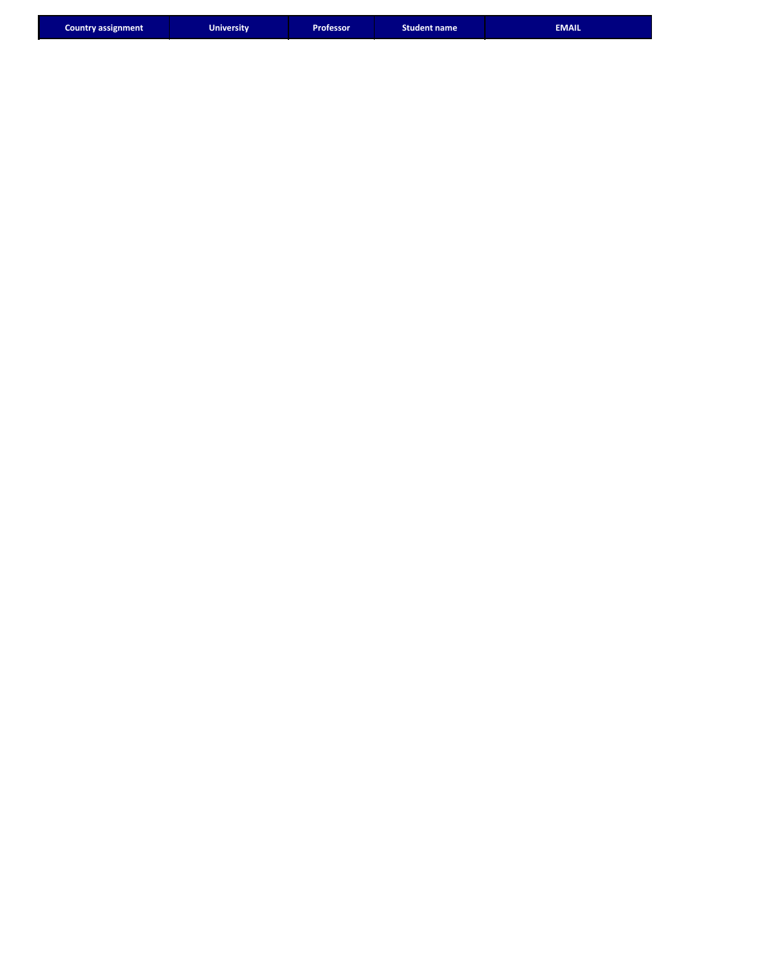| <b>EMAIL</b><br>Professor <b>'</b><br><b>University</b><br><b>Student name</b><br><b>Country assignment</b> |  |
|-------------------------------------------------------------------------------------------------------------|--|
|-------------------------------------------------------------------------------------------------------------|--|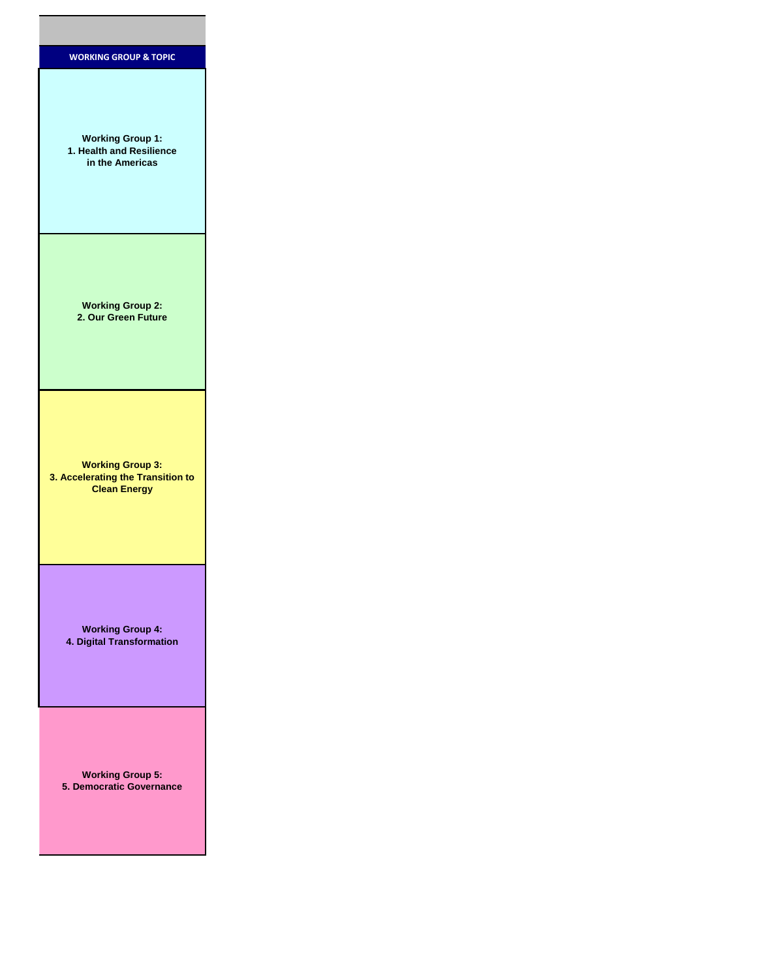| <b>WORKING GROUP &amp; TOPIC</b>                                                    |
|-------------------------------------------------------------------------------------|
| <b>Working Group 1:</b><br>1. Health and Resilience<br>in the Americas              |
| <b>Working Group 2:</b><br>2. Our Green Future                                      |
| <b>Working Group 3:</b><br>3. Accelerating the Transition to<br><b>Clean Energy</b> |
| <b>Working Group 4:</b><br>4. Digital Transformation                                |
| <b>Working Group 5:</b><br>5. Democratic Governance                                 |